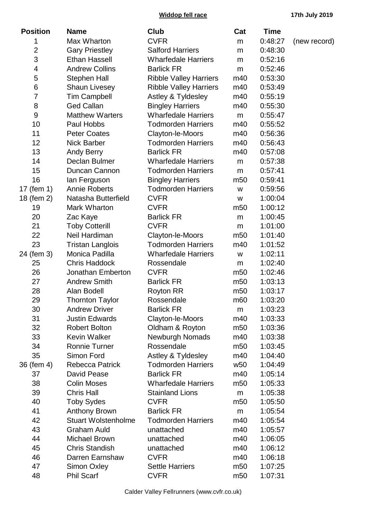**Widdop fell race 17th July 2019**

| <b>Position</b> | <b>Name</b>                | Club                          | Cat             | Time    |              |
|-----------------|----------------------------|-------------------------------|-----------------|---------|--------------|
| 1               | Max Wharton                | <b>CVFR</b>                   | m               | 0:48:27 | (new record) |
| $\overline{2}$  | <b>Gary Priestley</b>      | <b>Salford Harriers</b>       | m               | 0:48:30 |              |
| 3               | <b>Ethan Hassell</b>       | <b>Wharfedale Harriers</b>    | m               | 0:52:16 |              |
| 4               | <b>Andrew Collins</b>      | <b>Barlick FR</b>             | m               | 0:52:46 |              |
| 5               | <b>Stephen Hall</b>        | <b>Ribble Valley Harriers</b> | m40             | 0:53:30 |              |
| 6               | <b>Shaun Livesey</b>       | <b>Ribble Valley Harriers</b> | m40             | 0:53:49 |              |
| 7               | <b>Tim Campbell</b>        | Astley & Tyldesley            | m40             | 0:55:19 |              |
| 8               | <b>Ged Callan</b>          | <b>Bingley Harriers</b>       | m40             | 0:55:30 |              |
| 9               | <b>Matthew Warters</b>     | <b>Wharfedale Harriers</b>    | m               | 0:55:47 |              |
| 10              | Paul Hobbs                 | <b>Todmorden Harriers</b>     | m40             | 0:55:52 |              |
| 11              | <b>Peter Coates</b>        | Clayton-le-Moors              | m40             | 0:56:36 |              |
| 12              | <b>Nick Barber</b>         | <b>Todmorden Harriers</b>     | m40             | 0:56:43 |              |
| 13              | <b>Andy Berry</b>          | <b>Barlick FR</b>             | m40             | 0:57:08 |              |
| 14              | Declan Bulmer              | <b>Wharfedale Harriers</b>    | m               | 0:57:38 |              |
| 15              | Duncan Cannon              | <b>Todmorden Harriers</b>     | m               | 0:57:41 |              |
| 16              | lan Ferguson               | <b>Bingley Harriers</b>       | m <sub>50</sub> | 0:59:41 |              |
| 17 (fem 1)      | <b>Annie Roberts</b>       | <b>Todmorden Harriers</b>     | W               | 0:59:56 |              |
| 18 (fem 2)      | Natasha Butterfield        | <b>CVFR</b>                   | W               | 1:00:04 |              |
| 19              | Mark Wharton               | <b>CVFR</b>                   | m <sub>50</sub> | 1:00:12 |              |
| 20              | Zac Kaye                   | <b>Barlick FR</b>             | m               | 1:00:45 |              |
| 21              | <b>Toby Cotterill</b>      | <b>CVFR</b>                   | m               | 1:01:00 |              |
| 22              | Neil Hardiman              | Clayton-le-Moors              | m <sub>50</sub> | 1:01:40 |              |
| 23              | <b>Tristan Langlois</b>    | <b>Todmorden Harriers</b>     | m40             | 1:01:52 |              |
| 24 (fem 3)      | Monica Padilla             | <b>Wharfedale Harriers</b>    | W               | 1:02:11 |              |
| 25              | <b>Chris Haddock</b>       | Rossendale                    | m               | 1:02:40 |              |
| 26              | Jonathan Emberton          | <b>CVFR</b>                   | m <sub>50</sub> | 1:02:46 |              |
| 27              | <b>Andrew Smith</b>        | <b>Barlick FR</b>             | m <sub>50</sub> | 1:03:13 |              |
| 28              | Alan Bodell                | <b>Royton RR</b>              | m <sub>50</sub> | 1:03:17 |              |
| 29              | <b>Thornton Taylor</b>     | Rossendale                    | m <sub>60</sub> | 1:03:20 |              |
| 30              | <b>Andrew Driver</b>       | <b>Barlick FR</b>             | m               | 1:03:23 |              |
| 31              | <b>Justin Edwards</b>      | Clayton-le-Moors              | m40             | 1:03:33 |              |
| 32              | <b>Robert Bolton</b>       | Oldham & Royton               | m <sub>50</sub> | 1:03:36 |              |
| 33              | Kevin Walker               | <b>Newburgh Nomads</b>        | m40             | 1:03:38 |              |
| 34              | <b>Ronnie Turner</b>       | Rossendale                    | m <sub>50</sub> | 1:03:45 |              |
| 35              | Simon Ford                 | Astley & Tyldesley            | m40             | 1:04:40 |              |
| 36 (fem 4)      | <b>Rebecca Patrick</b>     | <b>Todmorden Harriers</b>     | w <sub>50</sub> | 1:04:49 |              |
| 37              | <b>David Pease</b>         | <b>Barlick FR</b>             | m40             | 1:05:14 |              |
| 38              | <b>Colin Moses</b>         | <b>Wharfedale Harriers</b>    | m <sub>50</sub> | 1:05:33 |              |
| 39              | <b>Chris Hall</b>          | <b>Stainland Lions</b>        | m               | 1:05:38 |              |
| 40              | <b>Toby Sydes</b>          | <b>CVFR</b>                   | m <sub>50</sub> | 1:05:50 |              |
| 41              | <b>Anthony Brown</b>       | <b>Barlick FR</b>             | m               | 1:05:54 |              |
| 42              | <b>Stuart Wolstenholme</b> | <b>Todmorden Harriers</b>     | m40             | 1:05:54 |              |
| 43              | <b>Graham Auld</b>         | unattached                    | m40             | 1:05:57 |              |
| 44              | <b>Michael Brown</b>       | unattached                    | m40             | 1:06:05 |              |
| 45              | <b>Chris Standish</b>      | unattached                    | m40             | 1:06:12 |              |
| 46              | Darren Earnshaw            | <b>CVFR</b>                   | m40             | 1:06:18 |              |
| 47              | <b>Simon Oxley</b>         | <b>Settle Harriers</b>        | m <sub>50</sub> | 1:07:25 |              |
| 48              | <b>Phil Scarf</b>          | <b>CVFR</b>                   | m <sub>50</sub> | 1:07:31 |              |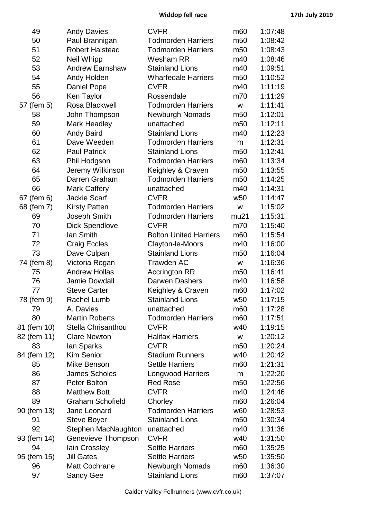**Widdop fell race 17th July 2019**

| 49          | <b>Andy Davies</b>      | <b>CVFR</b>                   | m <sub>60</sub> | 1:07:48 |
|-------------|-------------------------|-------------------------------|-----------------|---------|
| 50          | Paul Brannigan          | <b>Todmorden Harriers</b>     | m <sub>50</sub> | 1:08:42 |
| 51          | <b>Robert Halstead</b>  | <b>Todmorden Harriers</b>     | m <sub>50</sub> | 1:08:43 |
| 52          | Neil Whipp              | Wesham RR                     | m40             | 1:08:46 |
| 53          | <b>Andrew Earnshaw</b>  | <b>Stainland Lions</b>        | m40             | 1:09:51 |
| 54          | Andy Holden             | <b>Wharfedale Harriers</b>    | m <sub>50</sub> | 1:10:52 |
| 55          | Daniel Pope             | <b>CVFR</b>                   | m40             | 1:11:19 |
| 56          | Ken Taylor              | Rossendale                    | m70             | 1:11:29 |
| 57 (fem 5)  | Rosa Blackwell          | <b>Todmorden Harriers</b>     | W               | 1:11:41 |
| 58          | John Thompson           | Newburgh Nomads               | m <sub>50</sub> | 1:12:01 |
| 59          | <b>Mark Headley</b>     | unattached                    | m <sub>50</sub> | 1:12:11 |
| 60          | <b>Andy Baird</b>       | <b>Stainland Lions</b>        | m40             | 1:12:23 |
| 61          | Dave Weeden             | <b>Todmorden Harriers</b>     | m               | 1:12:31 |
| 62          | <b>Paul Patrick</b>     | <b>Stainland Lions</b>        | m <sub>50</sub> | 1:12:41 |
| 63          | Phil Hodgson            | <b>Todmorden Harriers</b>     | m <sub>60</sub> | 1:13:34 |
| 64          | Jeremy Wilkinson        | Keighley & Craven             | m <sub>50</sub> | 1:13:55 |
| 65          | Darren Graham           | <b>Todmorden Harriers</b>     | m <sub>50</sub> | 1:14:25 |
| 66          | Mark Caffery            | unattached                    | m40             | 1:14:31 |
| 67 (fem 6)  | <b>Jackie Scarf</b>     | <b>CVFR</b>                   | w <sub>50</sub> | 1:14:47 |
| 68 (fem 7)  | <b>Kirsty Patten</b>    | <b>Todmorden Harriers</b>     | W               | 1:15:02 |
| 69          | Joseph Smith            | <b>Todmorden Harriers</b>     | mu21            | 1:15:31 |
| 70          | <b>Dick Spendlove</b>   | <b>CVFR</b>                   | m70             | 1:15:40 |
| 71          | lan Smith               | <b>Bolton United Harriers</b> | m <sub>60</sub> | 1:15:54 |
| 72          | <b>Craig Eccles</b>     | Clayton-le-Moors              | m40             | 1:16:00 |
| 73          | Dave Culpan             | <b>Stainland Lions</b>        | m <sub>50</sub> | 1:16:04 |
| 74 (fem 8)  | Victoria Rogan          | <b>Trawden AC</b>             | W               | 1:16:36 |
| 75          | <b>Andrew Hollas</b>    | <b>Accrington RR</b>          | m <sub>50</sub> | 1:16:41 |
| 76          | <b>Jamie Dowdall</b>    | <b>Darwen Dashers</b>         | m40             | 1:16:58 |
| 77          | <b>Steve Carter</b>     | Keighley & Craven             | m <sub>60</sub> | 1:17:02 |
| 78 (fem 9)  | <b>Rachel Lumb</b>      | <b>Stainland Lions</b>        | w <sub>50</sub> | 1:17:15 |
| 79          | A. Davies               | unattached                    | m <sub>60</sub> | 1:17:28 |
| 80          | <b>Martin Roberts</b>   | <b>Todmorden Harriers</b>     | m <sub>60</sub> | 1:17:51 |
| 81 (fem 10) | Stella Chrisanthou      | <b>CVFR</b>                   | w40             | 1:19:15 |
| 82 (fem 11) | <b>Clare Newton</b>     | <b>Halifax Harriers</b>       | W               | 1:20:12 |
| 83          | lan Sparks              | <b>CVFR</b>                   | m <sub>50</sub> | 1:20:24 |
| 84 (fem 12) | <b>Kim Senior</b>       | <b>Stadium Runners</b>        | w40             | 1:20:42 |
| 85          | Mike Benson             | <b>Settle Harriers</b>        | m <sub>60</sub> | 1:21:31 |
| 86          | <b>James Scholes</b>    | <b>Longwood Harriers</b>      | m               | 1:22:20 |
| 87          | Peter Bolton            | <b>Red Rose</b>               | m <sub>50</sub> | 1:22:56 |
| 88          | <b>Matthew Bott</b>     | <b>CVFR</b>                   | m40             | 1:24:46 |
| 89          | <b>Graham Schofield</b> | Chorley                       | m <sub>60</sub> | 1:26:04 |
| 90 (fem 13) | Jane Leonard            | <b>Todmorden Harriers</b>     | w60             | 1:28:53 |
| 91          | <b>Steve Boyer</b>      | <b>Stainland Lions</b>        | m <sub>50</sub> | 1:30:34 |
| 92          | Stephen MacNaughton     | unattached                    | m40             | 1:31:36 |
| 93 (fem 14) | Genevieve Thompson      | <b>CVFR</b>                   | w40             | 1:31:50 |
| 94          | lain Crossley           | <b>Settle Harriers</b>        | m <sub>60</sub> | 1:35:25 |
| 95 (fem 15) | <b>Jill Gates</b>       | <b>Settle Harriers</b>        | w <sub>50</sub> | 1:35:50 |
| 96          | <b>Matt Cochrane</b>    | <b>Newburgh Nomads</b>        | m <sub>60</sub> | 1:36:30 |
| 97          | <b>Sandy Gee</b>        | <b>Stainland Lions</b>        | m <sub>60</sub> | 1:37:07 |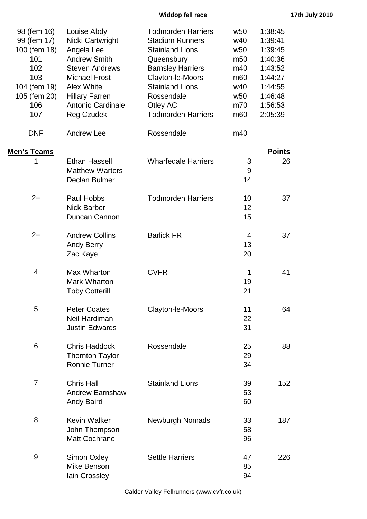## **Widdop fell race 17th July 2019**

| 98 (fem 16)<br>99 (fem 17)<br>100 (fem 18)<br>101<br>102<br>103<br>104 (fem 19)<br>105 (fem 20)<br>106<br>107 | Louise Abdy<br>Nicki Cartwright<br>Angela Lee<br><b>Andrew Smith</b><br><b>Steven Andrews</b><br><b>Michael Frost</b><br><b>Alex White</b><br><b>Hillary Farren</b><br><b>Antonio Cardinale</b><br><b>Reg Czudek</b> | <b>Todmorden Harriers</b><br><b>Stadium Runners</b><br><b>Stainland Lions</b><br>Queensbury<br><b>Barnsley Harriers</b><br>Clayton-le-Moors<br><b>Stainland Lions</b><br>Rossendale<br>Otley AC<br><b>Todmorden Harriers</b> | w <sub>50</sub><br>w40<br>w <sub>50</sub><br>m <sub>50</sub><br>m40<br>m <sub>60</sub><br>w40<br>w <sub>50</sub><br>m70<br>m <sub>60</sub> | 1:38:45<br>1:39:41<br>1:39:45<br>1:40:36<br>1:43:52<br>1:44:27<br>1:44:55<br>1:46:48<br>1:56:53<br>2:05:39 |
|---------------------------------------------------------------------------------------------------------------|----------------------------------------------------------------------------------------------------------------------------------------------------------------------------------------------------------------------|------------------------------------------------------------------------------------------------------------------------------------------------------------------------------------------------------------------------------|--------------------------------------------------------------------------------------------------------------------------------------------|------------------------------------------------------------------------------------------------------------|
| <b>DNF</b>                                                                                                    | <b>Andrew Lee</b>                                                                                                                                                                                                    | Rossendale                                                                                                                                                                                                                   | m40                                                                                                                                        |                                                                                                            |
| <u> Men's Teams</u><br>1                                                                                      | <b>Ethan Hassell</b><br><b>Matthew Warters</b><br>Declan Bulmer                                                                                                                                                      | <b>Wharfedale Harriers</b>                                                                                                                                                                                                   | 3<br>9<br>14                                                                                                                               | <b>Points</b><br>26                                                                                        |
| $2=$                                                                                                          | Paul Hobbs<br><b>Nick Barber</b><br>Duncan Cannon                                                                                                                                                                    | <b>Todmorden Harriers</b>                                                                                                                                                                                                    | 10<br>12<br>15                                                                                                                             | 37                                                                                                         |
| $2=$                                                                                                          | <b>Andrew Collins</b><br><b>Andy Berry</b><br>Zac Kaye                                                                                                                                                               | <b>Barlick FR</b>                                                                                                                                                                                                            | 4<br>13<br>20                                                                                                                              | 37                                                                                                         |
| $\overline{4}$                                                                                                | Max Wharton<br>Mark Wharton<br><b>Toby Cotterill</b>                                                                                                                                                                 | <b>CVFR</b>                                                                                                                                                                                                                  | 1<br>19<br>21                                                                                                                              | 41                                                                                                         |
| 5                                                                                                             | <b>Peter Coates</b><br>Neil Hardiman<br><b>Justin Edwards</b>                                                                                                                                                        | Clayton-le-Moors                                                                                                                                                                                                             | 11<br>22<br>31                                                                                                                             | 64                                                                                                         |
| 6                                                                                                             | <b>Chris Haddock</b><br><b>Thornton Taylor</b><br><b>Ronnie Turner</b>                                                                                                                                               | Rossendale                                                                                                                                                                                                                   | 25<br>29<br>34                                                                                                                             | 88                                                                                                         |
| $\overline{7}$                                                                                                | <b>Chris Hall</b><br><b>Andrew Earnshaw</b><br><b>Andy Baird</b>                                                                                                                                                     | <b>Stainland Lions</b>                                                                                                                                                                                                       | 39<br>53<br>60                                                                                                                             | 152                                                                                                        |
| 8                                                                                                             | <b>Kevin Walker</b><br>John Thompson<br><b>Matt Cochrane</b>                                                                                                                                                         | <b>Newburgh Nomads</b>                                                                                                                                                                                                       | 33<br>58<br>96                                                                                                                             | 187                                                                                                        |
| 9                                                                                                             | <b>Simon Oxley</b><br>Mike Benson<br>lain Crossley                                                                                                                                                                   | <b>Settle Harriers</b>                                                                                                                                                                                                       | 47<br>85<br>94                                                                                                                             | 226                                                                                                        |